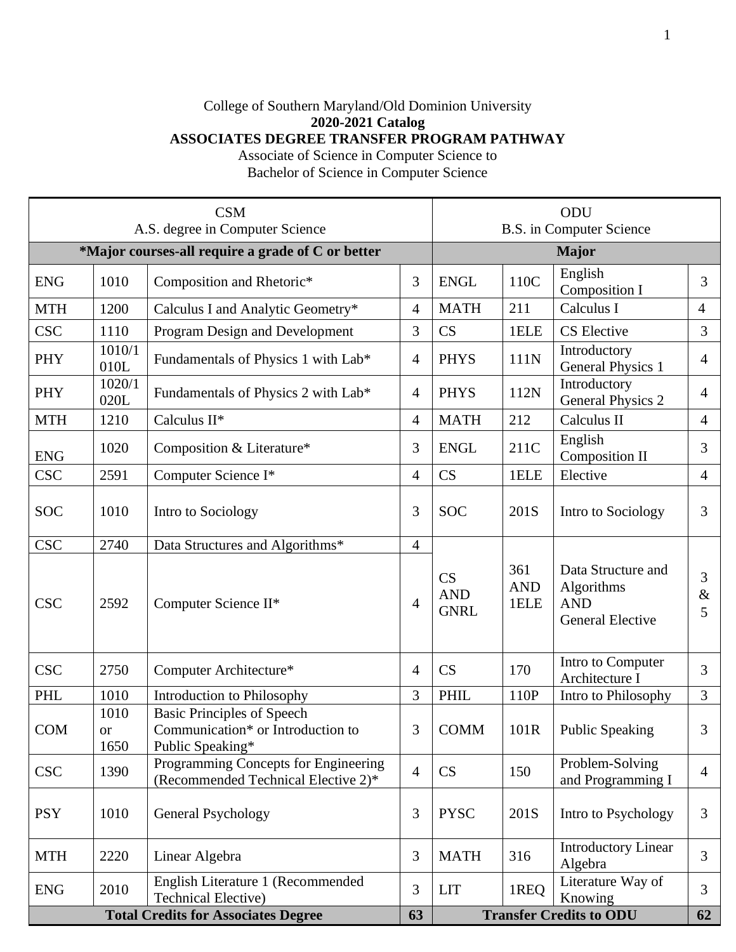## College of Southern Maryland/Old Dominion University **2020-2021 Catalog ASSOCIATES DEGREE TRANSFER PROGRAM PATHWAY**

Associate of Science in Computer Science to Bachelor of Science in Computer Science

| <b>CSM</b><br>A.S. degree in Computer Science     |                                   |                                                                                            |                | ODU<br><b>B.S.</b> in Computer Science |                           |                                                                           |                |
|---------------------------------------------------|-----------------------------------|--------------------------------------------------------------------------------------------|----------------|----------------------------------------|---------------------------|---------------------------------------------------------------------------|----------------|
| *Major courses-all require a grade of C or better |                                   |                                                                                            |                | <b>Major</b>                           |                           |                                                                           |                |
| <b>ENG</b>                                        | 1010                              | Composition and Rhetoric*                                                                  | 3              | <b>ENGL</b>                            | 110C                      | English<br><b>Composition I</b>                                           | 3              |
| <b>MTH</b>                                        | 1200                              | Calculus I and Analytic Geometry*                                                          | 4              | <b>MATH</b>                            | 211                       | Calculus I                                                                | $\overline{4}$ |
| <b>CSC</b>                                        | 1110                              | Program Design and Development                                                             | 3              | CS                                     | 1ELE                      | <b>CS</b> Elective                                                        | 3              |
| PHY                                               | 1010/1<br>010L                    | Fundamentals of Physics 1 with Lab*                                                        | $\overline{4}$ | <b>PHYS</b>                            | 111N                      | Introductory<br><b>General Physics 1</b>                                  | $\overline{4}$ |
| PHY                                               | 1020/1<br>020L                    | Fundamentals of Physics 2 with Lab*                                                        | $\overline{4}$ | <b>PHYS</b>                            | 112N                      | Introductory<br><b>General Physics 2</b>                                  | $\overline{4}$ |
| <b>MTH</b>                                        | 1210                              | Calculus II*                                                                               | 4              | <b>MATH</b>                            | 212                       | Calculus II                                                               | $\overline{4}$ |
| <b>ENG</b>                                        | 1020<br>Composition & Literature* |                                                                                            | 3              | <b>ENGL</b>                            | 211C                      | English<br><b>Composition II</b>                                          | 3              |
| <b>CSC</b>                                        | 2591                              | Computer Science I*                                                                        | $\overline{4}$ | CS                                     | 1ELE                      | Elective                                                                  | $\overline{4}$ |
| <b>SOC</b>                                        | 1010                              | Intro to Sociology                                                                         |                | <b>SOC</b>                             | 201S                      | Intro to Sociology                                                        | 3              |
| <b>CSC</b>                                        | 2740                              | Data Structures and Algorithms*                                                            | $\overline{4}$ |                                        |                           |                                                                           |                |
| <b>CSC</b>                                        | 2592                              | Computer Science II*                                                                       | $\overline{4}$ | CS<br><b>AND</b><br><b>GNRL</b>        | 361<br><b>AND</b><br>1ELE | Data Structure and<br>Algorithms<br><b>AND</b><br><b>General Elective</b> | 3<br>$\&$<br>5 |
| <b>CSC</b>                                        | 2750                              | Computer Architecture*                                                                     | $\overline{4}$ | <b>CS</b>                              | 170                       | Intro to Computer<br>Architecture I                                       | 3              |
| <b>PHL</b>                                        | 1010                              | Introduction to Philosophy                                                                 | 3              | <b>PHIL</b>                            | 110P                      | Intro to Philosophy                                                       | $\mathfrak{Z}$ |
| <b>COM</b>                                        | 1010<br>$\alpha$<br>1650          | <b>Basic Principles of Speech</b><br>Communication* or Introduction to<br>Public Speaking* | 3              | <b>COMM</b>                            | 101R                      | <b>Public Speaking</b>                                                    | 3              |
| <b>CSC</b>                                        | 1390                              | Programming Concepts for Engineering<br>(Recommended Technical Elective 2)*                | $\overline{4}$ | <b>CS</b>                              | 150                       | Problem-Solving<br>and Programming I                                      | $\overline{4}$ |
| <b>PSY</b>                                        | 1010                              | General Psychology                                                                         | 3              | <b>PYSC</b>                            | 201S                      | Intro to Psychology                                                       | 3              |
| <b>MTH</b>                                        | 2220                              | Linear Algebra                                                                             | 3              | <b>MATH</b>                            | 316                       | <b>Introductory Linear</b><br>Algebra                                     | 3              |
| <b>ENG</b>                                        | 2010                              | English Literature 1 (Recommended<br><b>Technical Elective)</b>                            | 3              | <b>LIT</b>                             | 1REQ                      | Literature Way of<br>Knowing                                              | 3              |
| <b>Total Credits for Associates Degree</b>        |                                   |                                                                                            | 63             | <b>Transfer Credits to ODU</b>         |                           |                                                                           | 62             |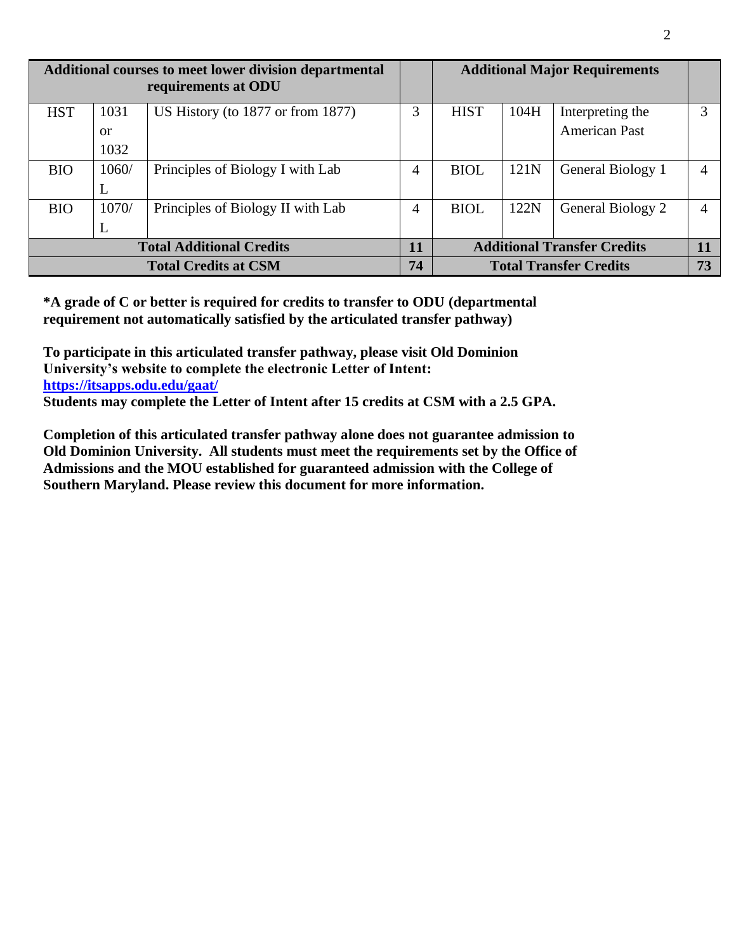| Additional courses to meet lower division departmental<br>requirements at ODU |               |                                        |                |                                    |      | <b>Additional Major Requirements</b> |   |
|-------------------------------------------------------------------------------|---------------|----------------------------------------|----------------|------------------------------------|------|--------------------------------------|---|
| <b>HST</b>                                                                    | 1031          | US History (to $1877$ or from $1877$ ) | 3              | <b>HIST</b>                        | 104H | Interpreting the                     | 3 |
|                                                                               | <sub>or</sub> |                                        |                |                                    |      | <b>American Past</b>                 |   |
|                                                                               | 1032          |                                        |                |                                    |      |                                      |   |
| <b>BIO</b>                                                                    | 1060/         | Principles of Biology I with Lab       | $\overline{4}$ | <b>BIOL</b>                        | 121N | General Biology 1                    | 4 |
|                                                                               | L             |                                        |                |                                    |      |                                      |   |
| <b>BIO</b>                                                                    | 1070/         | Principles of Biology II with Lab      | 4              | <b>BIOL</b>                        | 122N | General Biology 2                    | 4 |
|                                                                               | L             |                                        |                |                                    |      |                                      |   |
| <b>Total Additional Credits</b>                                               |               |                                        | 11             | <b>Additional Transfer Credits</b> |      | 11                                   |   |
| <b>Total Credits at CSM</b>                                                   |               |                                        | 74             | <b>Total Transfer Credits</b>      |      | 73                                   |   |

**\*A grade of C or better is required for credits to transfer to ODU (departmental requirement not automatically satisfied by the articulated transfer pathway)**

**To participate in this articulated transfer pathway, please visit Old Dominion University's website to complete the electronic Letter of Intent: <https://itsapps.odu.edu/gaat/> Students may complete the Letter of Intent after 15 credits at CSM with a 2.5 GPA.**

**Completion of this articulated transfer pathway alone does not guarantee admission to Old Dominion University. All students must meet the requirements set by the Office of Admissions and the MOU established for guaranteed admission with the College of Southern Maryland. Please review this document for more information.**